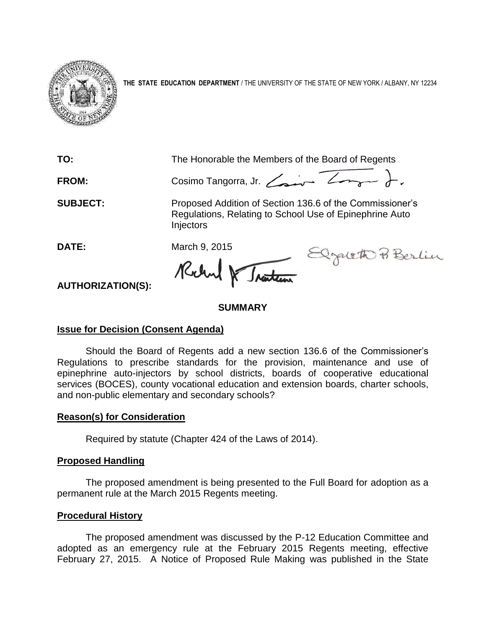

**THE STATE EDUCATION DEPARTMENT** / THE UNIVERSITY OF THE STATE OF NEW YORK / ALBANY, NY 12234

**TO:** The Honorable the Members of the Board of Regents

FROM: Cosimo Tangorra, Jr. <del>Cosine Zonger</del> ).

**SUBJECT:** Proposed Addition of Section 136.6 of the Commissioner's Regulations, Relating to School Use of Epinephrine Auto **Injectors** 

DATE: March 9, 2015<br>Rochy Rochy Martin Elgebeth P. Berlin

**AUTHORIZATION(S):**

# **SUMMARY**

# **Issue for Decision (Consent Agenda)**

Should the Board of Regents add a new section 136.6 of the Commissioner's Regulations to prescribe standards for the provision, maintenance and use of epinephrine auto-injectors by school districts, boards of cooperative educational services (BOCES), county vocational education and extension boards, charter schools, and non-public elementary and secondary schools?

### **Reason(s) for Consideration**

Required by statute (Chapter 424 of the Laws of 2014).

# **Proposed Handling**

The proposed amendment is being presented to the Full Board for adoption as a permanent rule at the March 2015 Regents meeting.

# **Procedural History**

The proposed amendment was discussed by the P-12 Education Committee and adopted as an emergency rule at the February 2015 Regents meeting, effective February 27, 2015. A Notice of Proposed Rule Making was published in the State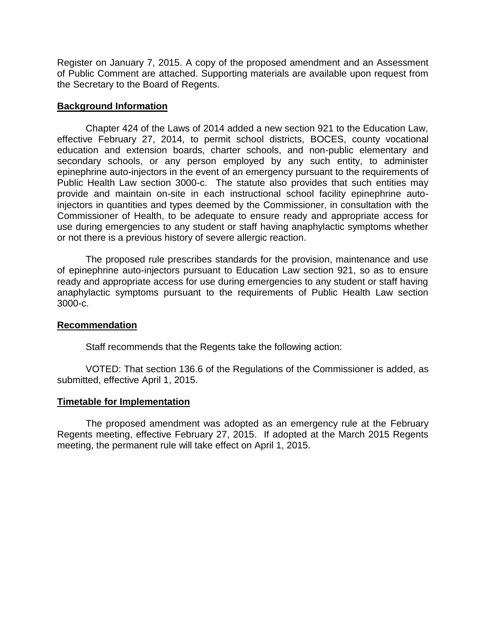Register on January 7, 2015. A copy of the proposed amendment and an Assessment of Public Comment are attached. Supporting materials are available upon request from the Secretary to the Board of Regents.

### **Background Information**

Chapter 424 of the Laws of 2014 added a new section 921 to the Education Law, effective February 27, 2014, to permit school districts, BOCES, county vocational education and extension boards, charter schools, and non-public elementary and secondary schools, or any person employed by any such entity, to administer epinephrine auto-injectors in the event of an emergency pursuant to the requirements of Public Health Law section 3000-c. The statute also provides that such entities may provide and maintain on-site in each instructional school facility epinephrine autoinjectors in quantities and types deemed by the Commissioner, in consultation with the Commissioner of Health, to be adequate to ensure ready and appropriate access for use during emergencies to any student or staff having anaphylactic symptoms whether or not there is a previous history of severe allergic reaction.

The proposed rule prescribes standards for the provision, maintenance and use of epinephrine auto-injectors pursuant to Education Law section 921, so as to ensure ready and appropriate access for use during emergencies to any student or staff having anaphylactic symptoms pursuant to the requirements of Public Health Law section 3000-c.

#### **Recommendation**

Staff recommends that the Regents take the following action:

VOTED: That section 136.6 of the Regulations of the Commissioner is added, as submitted, effective April 1, 2015.

#### **Timetable for Implementation**

The proposed amendment was adopted as an emergency rule at the February Regents meeting, effective February 27, 2015. If adopted at the March 2015 Regents meeting, the permanent rule will take effect on April 1, 2015.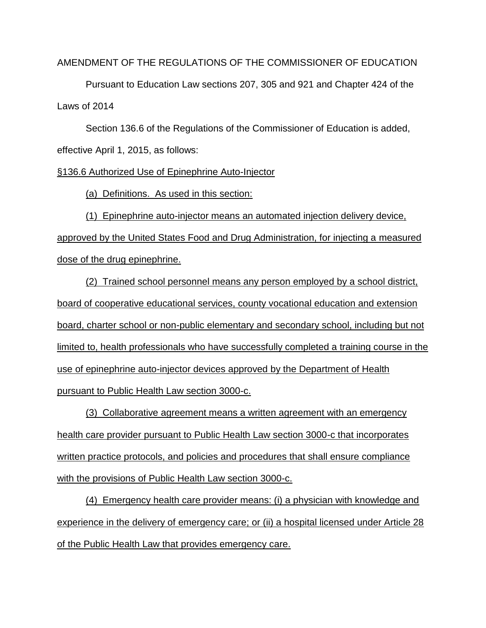AMENDMENT OF THE REGULATIONS OF THE COMMISSIONER OF EDUCATION

Pursuant to Education Law sections 207, 305 and 921 and Chapter 424 of the Laws of 2014

Section 136.6 of the Regulations of the Commissioner of Education is added, effective April 1, 2015, as follows:

§136.6 Authorized Use of Epinephrine Auto-Injector

(a) Definitions. As used in this section:

(1) Epinephrine auto-injector means an automated injection delivery device, approved by the United States Food and Drug Administration, for injecting a measured dose of the drug epinephrine.

(2) Trained school personnel means any person employed by a school district, board of cooperative educational services, county vocational education and extension board, charter school or non-public elementary and secondary school, including but not limited to, health professionals who have successfully completed a training course in the use of epinephrine auto-injector devices approved by the Department of Health pursuant to Public Health Law section 3000-c.

(3) Collaborative agreement means a written agreement with an emergency health care provider pursuant to Public Health Law section 3000-c that incorporates written practice protocols, and policies and procedures that shall ensure compliance with the provisions of Public Health Law section 3000-c.

(4) Emergency health care provider means: (i) a physician with knowledge and experience in the delivery of emergency care; or (ii) a hospital licensed under Article 28 of the Public Health Law that provides emergency care.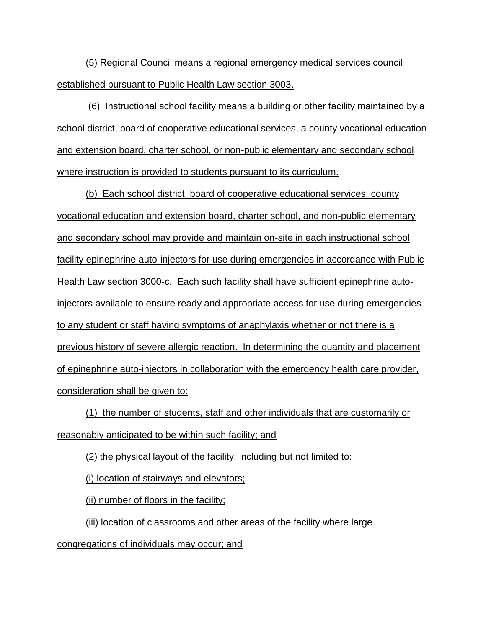(5) Regional Council means a regional emergency medical services council established pursuant to Public Health Law section 3003.

(6) Instructional school facility means a building or other facility maintained by a school district, board of cooperative educational services, a county vocational education and extension board, charter school, or non-public elementary and secondary school where instruction is provided to students pursuant to its curriculum.

(b) Each school district, board of cooperative educational services, county vocational education and extension board, charter school, and non-public elementary and secondary school may provide and maintain on-site in each instructional school facility epinephrine auto-injectors for use during emergencies in accordance with Public Health Law section 3000-c. Each such facility shall have sufficient epinephrine autoinjectors available to ensure ready and appropriate access for use during emergencies to any student or staff having symptoms of anaphylaxis whether or not there is a previous history of severe allergic reaction. In determining the quantity and placement of epinephrine auto-injectors in collaboration with the emergency health care provider, consideration shall be given to:

(1) the number of students, staff and other individuals that are customarily or reasonably anticipated to be within such facility; and

(2) the physical layout of the facility, including but not limited to:

(i) location of stairways and elevators;

(ii) number of floors in the facility;

(iii) location of classrooms and other areas of the facility where large

congregations of individuals may occur; and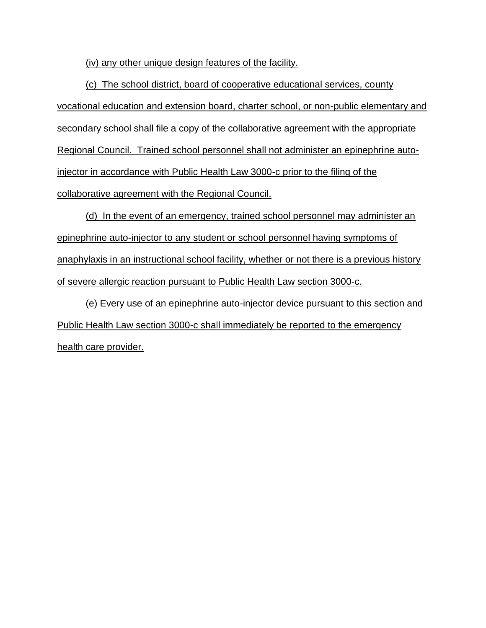(iv) any other unique design features of the facility.

(c) The school district, board of cooperative educational services, county vocational education and extension board, charter school, or non-public elementary and secondary school shall file a copy of the collaborative agreement with the appropriate Regional Council. Trained school personnel shall not administer an epinephrine autoinjector in accordance with Public Health Law 3000-c prior to the filing of the collaborative agreement with the Regional Council.

(d) In the event of an emergency, trained school personnel may administer an epinephrine auto-injector to any student or school personnel having symptoms of anaphylaxis in an instructional school facility, whether or not there is a previous history of severe allergic reaction pursuant to Public Health Law section 3000-c.

(e) Every use of an epinephrine auto-injector device pursuant to this section and Public Health Law section 3000-c shall immediately be reported to the emergency health care provider.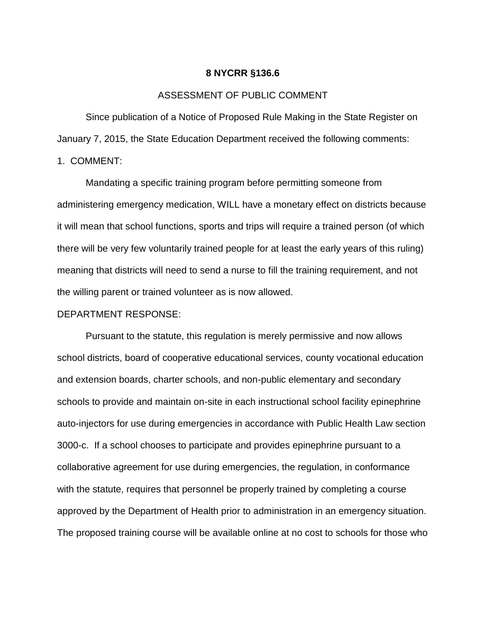#### **8 NYCRR §136.6**

### ASSESSMENT OF PUBLIC COMMENT

Since publication of a Notice of Proposed Rule Making in the State Register on January 7, 2015, the State Education Department received the following comments:

1. COMMENT:

Mandating a specific training program before permitting someone from administering emergency medication, WILL have a monetary effect on districts because it will mean that school functions, sports and trips will require a trained person (of which there will be very few voluntarily trained people for at least the early years of this ruling) meaning that districts will need to send a nurse to fill the training requirement, and not the willing parent or trained volunteer as is now allowed.

#### DEPARTMENT RESPONSE:

Pursuant to the statute, this regulation is merely permissive and now allows school districts, board of cooperative educational services, county vocational education and extension boards, charter schools, and non-public elementary and secondary schools to provide and maintain on-site in each instructional school facility epinephrine auto-injectors for use during emergencies in accordance with Public Health Law section 3000-c. If a school chooses to participate and provides epinephrine pursuant to a collaborative agreement for use during emergencies, the regulation, in conformance with the statute, requires that personnel be properly trained by completing a course approved by the Department of Health prior to administration in an emergency situation. The proposed training course will be available online at no cost to schools for those who